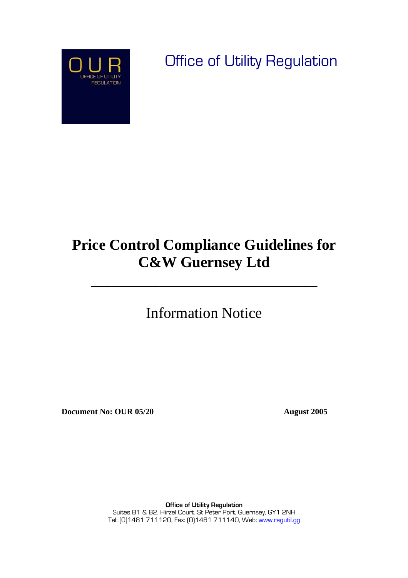

Office of Utility Regulation

# **Price Control Compliance Guidelines for C&W Guernsey Ltd**

\_\_\_\_\_\_\_\_\_\_\_\_\_\_\_\_\_\_\_\_\_\_\_\_\_\_\_\_\_\_\_\_\_

Information Notice

**Document No: OUR 05/20 August 2005** 

**Office of Utility Regulation**  Suites B1 & B2, Hirzel Court, St Peter Port, Guernsey, GY1 2NH Tel: [0]1481 711120, Fax: [0]1481 711140, Web: [www.regutil.gg](http://www.regutil.gg/)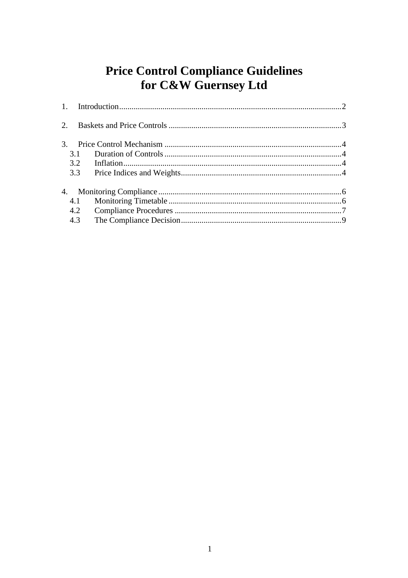## **Price Control Compliance Guidelines** for C&W Guernsey Ltd

| $\mathfrak{Z}$ . |     |  |
|------------------|-----|--|
|                  | 3.1 |  |
|                  | 3.2 |  |
|                  | 3.3 |  |
|                  |     |  |
|                  | 4.1 |  |
|                  | 4.2 |  |
|                  | 4.3 |  |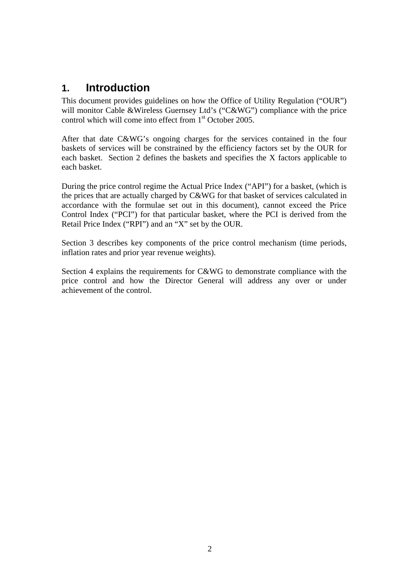### <span id="page-2-0"></span>**1. Introduction**

This document provides guidelines on how the Office of Utility Regulation ("OUR") will monitor Cable &Wireless Guernsey Ltd's ("C&WG") compliance with the price control which will come into effect from 1<sup>st</sup> October 2005.

After that date C&WG's ongoing charges for the services contained in the four baskets of services will be constrained by the efficiency factors set by the OUR for each basket. Section 2 defines the baskets and specifies the X factors applicable to each basket.

During the price control regime the Actual Price Index ("API") for a basket, (which is the prices that are actually charged by C&WG for that basket of services calculated in accordance with the formulae set out in this document), cannot exceed the Price Control Index ("PCI") for that particular basket, where the PCI is derived from the Retail Price Index ("RPI") and an "X" set by the OUR.

Section 3 describes key components of the price control mechanism (time periods, inflation rates and prior year revenue weights).

Section 4 explains the requirements for C&WG to demonstrate compliance with the price control and how the Director General will address any over or under achievement of the control.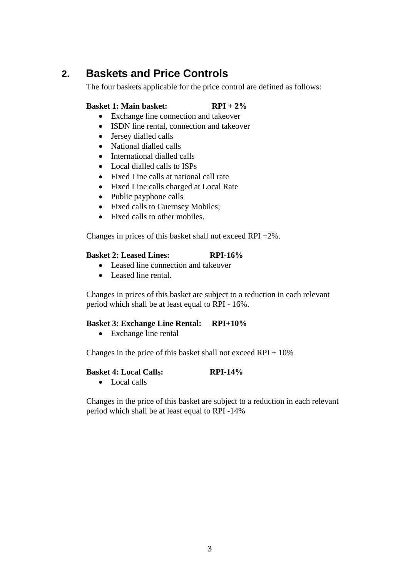### <span id="page-3-0"></span>**2. Baskets and Price Controls**

The four baskets applicable for the price control are defined as follows:

### **Basket 1: Main basket: RPI + 2%**

- Exchange line connection and takeover
- ISDN line rental, connection and takeover
- Jersey dialled calls
- National dialled calls
- International dialled calls
- Local dialled calls to ISPs
- Fixed Line calls at national call rate
- Fixed Line calls charged at Local Rate
- Public payphone calls
- Fixed calls to Guernsey Mobiles;
- Fixed calls to other mobiles

Changes in prices of this basket shall not exceed RPI +2%.

#### **Basket 2: Leased Lines: RPI-16%**

- Leased line connection and takeover
- Leased line rental.

Changes in prices of this basket are subject to a reduction in each relevant period which shall be at least equal to RPI - 16%.

#### **Basket 3: Exchange Line Rental: RPI+10%**

• Exchange line rental

Changes in the price of this basket shall not exceed  $RPI + 10\%$ 

#### **Basket 4: Local Calls: RPI-14%**

• Local calls

Changes in the price of this basket are subject to a reduction in each relevant period which shall be at least equal to RPI -14%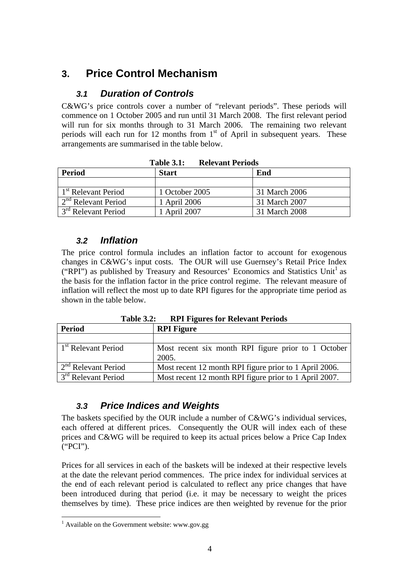### <span id="page-4-0"></span>**3. Price Control Mechanism**

### *3.1 Duration of Controls*

C&WG's price controls cover a number of "relevant periods". These periods will commence on 1 October 2005 and run until 31 March 2008. The first relevant period will run for six months through to 31 March 2006. The remaining two relevant periods will each run for 12 months from  $1<sup>st</sup>$  of April in subsequent years. These arrangements are summarised in the table below.

| 1 apie 5.1;<br>Reievant Periods |                |               |  |  |
|---------------------------------|----------------|---------------|--|--|
| Period                          | <b>Start</b>   | End           |  |  |
|                                 |                |               |  |  |
| 1 <sup>st</sup> Relevant Period | 1 October 2005 | 31 March 2006 |  |  |
| $2nd$ Relevant Period           | 1 April 2006   | 31 March 2007 |  |  |
| 3 <sup>rd</sup> Relevant Period | . April 2007   | 31 March 2008 |  |  |

**Table 3.1: Relevant Periods** 

### *3.2 Inflation*

The price control formula includes an inflation factor to account for exogenous changes in C&WG's input costs. The OUR will use Guernsey's Retail Price Index ("RPI") as published by Treasury and Resources' Economics and Statistics Unit<sup>[1](#page-4-1)</sup> as the basis for the inflation factor in the price control regime. The relevant measure of inflation will reflect the most up to date RPI figures for the appropriate time period as shown in the table below.

**Table 3.2: RPI Figures for Relevant Periods** 

| Period                          | <b>RPI</b> Figure                                            |  |
|---------------------------------|--------------------------------------------------------------|--|
|                                 |                                                              |  |
| 1 <sup>st</sup> Relevant Period | Most recent six month RPI figure prior to 1 October<br>2005. |  |
| $2nd$ Relevant Period           | Most recent 12 month RPI figure prior to 1 April 2006.       |  |
| 3 <sup>rd</sup> Relevant Period | Most recent 12 month RPI figure prior to 1 April 2007.       |  |

### *3.3 Price Indices and Weights*

The baskets specified by the OUR include a number of C&WG's individual services, each offered at different prices. Consequently the OUR will index each of these prices and C&WG will be required to keep its actual prices below a Price Cap Index ("PCI").

Prices for all services in each of the baskets will be indexed at their respective levels at the date the relevant period commences. The price index for individual services at the end of each relevant period is calculated to reflect any price changes that have been introduced during that period (i.e. it may be necessary to weight the prices themselves by time). These price indices are then weighted by revenue for the prior

<span id="page-4-1"></span> 1 Available on the Government website: www.gov.gg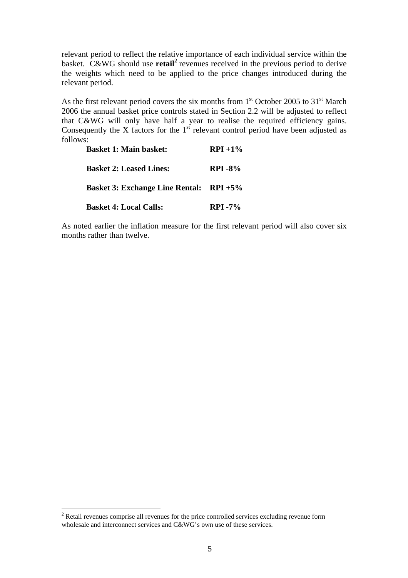relevant period to reflect the relative importance of each individual service within the basket. C&WG should use **retail[2](#page-5-0)** revenues received in the previous period to derive the weights which need to be applied to the price changes introduced during the relevant period.

As the first relevant period covers the six months from  $1<sup>st</sup>$  October 2005 to  $31<sup>st</sup>$  March 2006 the annual basket price controls stated in Section 2.2 will be adjusted to reflect that C&WG will only have half a year to realise the required efficiency gains. Consequently the X factors for the 1<sup>st</sup> relevant control period have been adjusted as follows:

| <b>Basket 1: Main basket:</b>                  | $RPI + 1\%$ |
|------------------------------------------------|-------------|
| <b>Basket 2: Leased Lines:</b>                 | $RPI - 8\%$ |
| <b>Basket 3: Exchange Line Rental: RPI +5%</b> |             |
| <b>Basket 4: Local Calls:</b>                  | $RPI - 7\%$ |

As noted earlier the inflation measure for the first relevant period will also cover six months rather than twelve.

 $\overline{a}$ 

<span id="page-5-0"></span> $2^2$  Retail revenues comprise all revenues for the price controlled services excluding revenue form wholesale and interconnect services and C&WG's own use of these services.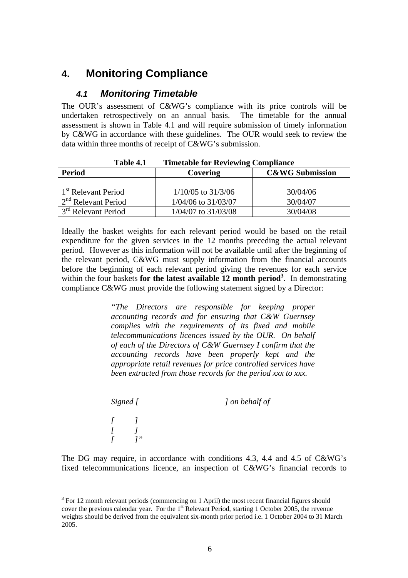### <span id="page-6-0"></span>**4. Monitoring Compliance**

### *4.1 Monitoring Timetable*

The OUR's assessment of C&WG's compliance with its price controls will be undertaken retrospectively on an annual basis. The timetable for the annual assessment is shown in Table 4.1 and will require submission of timely information by C&WG in accordance with these guidelines. The OUR would seek to review the data within three months of receipt of C&WG's submission.

| <b>Period</b>                               | Covering                | <b>C&amp;WG Submission</b> |
|---------------------------------------------|-------------------------|----------------------------|
|                                             |                         |                            |
| $1st$ Relevant Period                       | $1/10/05$ to $31/3/06$  | 30/04/06                   |
| $2nd$ Relevant Period                       | $1/04/06$ to $31/03/07$ | 30/04/07                   |
| $\frac{1}{3}$ <sup>rd</sup> Relevant Period | $1/04/07$ to $31/03/08$ | 30/04/08                   |

**Table 4.1 Timetable for Reviewing Compliance** 

Ideally the basket weights for each relevant period would be based on the retail expenditure for the given services in the 12 months preceding the actual relevant period. However as this information will not be available until after the beginning of the relevant period, C&WG must supply information from the financial accounts before the beginning of each relevant period giving the revenues for each service within the four baskets **for the latest available 12 month period[3](#page-6-1)** . In demonstrating compliance C&WG must provide the following statement signed by a Director:

> *"The Directors are responsible for keeping proper accounting records and for ensuring that C&W Guernsey complies with the requirements of its fixed and mobile telecommunications licences issued by the OUR. On behalf of each of the Directors of C&W Guernsey I confirm that the accounting records have been properly kept and the appropriate retail revenues for price controlled services have been extracted from those records for the period xxx to xxx.*

| Signed [       |    | ] on behalf of |  |
|----------------|----|----------------|--|
| $\overline{I}$ | 7" |                |  |

The DG may require, in accordance with conditions 4.3, 4.4 and 4.5 of C&WG's fixed telecommunications licence, an inspection of C&WG's financial records to

 $\overline{a}$ 

<span id="page-6-1"></span> $3$  For 12 month relevant periods (commencing on 1 April) the most recent financial figures should cover the previous calendar year. For the 1<sup>st</sup> Relevant Period, starting 1 October 2005, the revenue weights should be derived from the equivalent six-month prior period i.e. 1 October 2004 to 31 March 2005.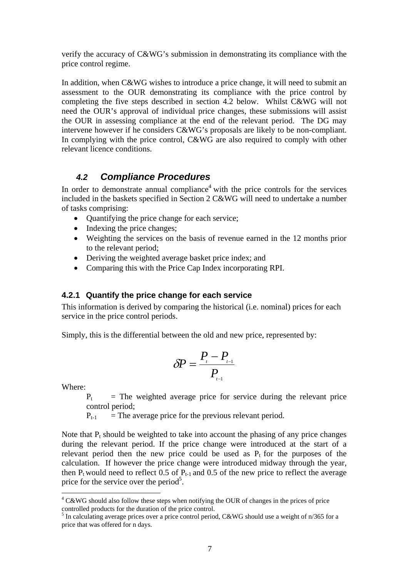<span id="page-7-0"></span>verify the accuracy of C&WG's submission in demonstrating its compliance with the price control regime.

In addition, when C&WG wishes to introduce a price change, it will need to submit an assessment to the OUR demonstrating its compliance with the price control by completing the five steps described in section [4.2](#page-7-1) below. Whilst C&WG will not need the OUR's approval of individual price changes, these submissions will assist the OUR in assessing compliance at the end of the relevant period. The DG may intervene however if he considers C&WG's proposals are likely to be non-compliant. In complying with the price control, C&WG are also required to comply with other relevant licence conditions.

### <span id="page-7-1"></span>*4.2 Compliance Procedures*

In order to demonstrate annual compliance<sup>4</sup> with the price controls for the services included in the baskets specified in Section 2 C&WG will need to undertake a number of tasks comprising:

- Quantifying the price change for each service;
- Indexing the price changes;
- Weighting the services on the basis of revenue earned in the 12 months prior to the relevant period;
- Deriving the weighted average basket price index; and
- Comparing this with the Price Cap Index incorporating RPI.

### **4.2.1 Quantify the price change for each service**

This information is derived by comparing the historical (i.e. nominal) prices for each service in the price control periods.

Simply, this is the differential between the old and new price, represented by:

$$
\delta P = \frac{P_{\scriptscriptstyle{r}} - P_{\scriptscriptstyle{r-1}}}{P_{\scriptscriptstyle{r-1}}}
$$

Where:

 $\overline{a}$ 

 $P_t$  = The weighted average price for service during the relevant price control period;

 $P_{t-1}$  = The average price for the previous relevant period.

Note that  $P_t$  should be weighted to take into account the phasing of any price changes during the relevant period. If the price change were introduced at the start of a relevant period then the new price could be used as  $P_t$  for the purposes of the calculation. If however the price change were introduced midway through the year, then  $P_t$  would need to reflect 0.5 of  $P_{t-1}$  and 0.5 of the new price to reflect the average price for the service over the period<sup>[5](#page-7-3)</sup>.

<span id="page-7-2"></span> $4$  C&WG should also follow these steps when notifying the OUR of changes in the prices of price

<span id="page-7-3"></span>controlled products for the duration of the price control.<br><sup>5</sup> In calculating average prices over a price control period, C&WG should use a weight of n/365 for a price that was offered for n days.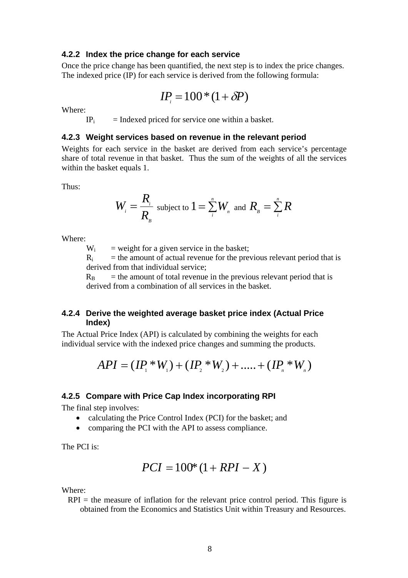#### **4.2.2 Index the price change for each service**

Once the price change has been quantified, the next step is to index the price changes. The indexed price (IP) for each service is derived from the following formula:

$$
IP_i = 100*(1+\delta P)
$$

Where:

 $IP_i$  = Indexed priced for service one within a basket.

#### **4.2.3 Weight services based on revenue in the relevant period**

Weights for each service in the basket are derived from each service's percentage share of total revenue in that basket. Thus the sum of the weights of all the services within the basket equals 1.

Thus:

$$
W_{i} = \frac{R_{i}}{R_{B}}
$$
 subject to  $1 = \sum_{i}^{n} W_{n}$  and  $R_{B} = \sum_{i}^{n} R$ 

Where:

 $W_i$  = weight for a given service in the basket;

 $R_i$  = the amount of actual revenue for the previous relevant period that is derived from that individual service;

 $R_B$  = the amount of total revenue in the previous relevant period that is derived from a combination of all services in the basket.

### **4.2.4 Derive the weighted average basket price index (Actual Price Index)**

The Actual Price Index (API) is calculated by combining the weights for each individual service with the indexed price changes and summing the products.

$$
API = (IP_1 * W_1) + (IP_2 * W_2) + \dots + (IP_n * W_n)
$$

#### **4.2.5 Compare with Price Cap Index incorporating RPI**

The final step involves:

- calculating the Price Control Index (PCI) for the basket: and
- comparing the PCI with the API to assess compliance.

The PCI is:

$$
PCI = 100*(1 + RPI - X)
$$

Where:

 $RPI =$  the measure of inflation for the relevant price control period. This figure is obtained from the Economics and Statistics Unit within Treasury and Resources.